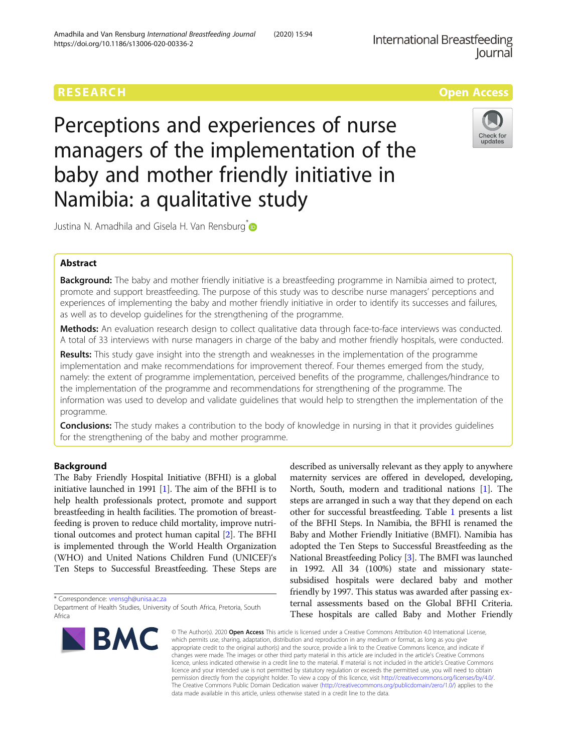# RESEARCH **RESEARCH CONSUMING ACCESS**

Perceptions and experiences of nurse managers of the implementation of the baby and mother friendly initiative in Namibia: a qualitative study



Justina N. Amadhila and Gisela H. Van Rensburg<sup>[\\*](http://orcid.org/0000-0003-0108-9943)</sup>

## Abstract

**Background:** The baby and mother friendly initiative is a breastfeeding programme in Namibia aimed to protect, promote and support breastfeeding. The purpose of this study was to describe nurse managers' perceptions and experiences of implementing the baby and mother friendly initiative in order to identify its successes and failures, as well as to develop guidelines for the strengthening of the programme.

Methods: An evaluation research design to collect qualitative data through face-to-face interviews was conducted. A total of 33 interviews with nurse managers in charge of the baby and mother friendly hospitals, were conducted.

**Results:** This study gave insight into the strength and weaknesses in the implementation of the programme implementation and make recommendations for improvement thereof. Four themes emerged from the study, namely: the extent of programme implementation, perceived benefits of the programme, challenges/hindrance to the implementation of the programme and recommendations for strengthening of the programme. The information was used to develop and validate guidelines that would help to strengthen the implementation of the programme.

**Conclusions:** The study makes a contribution to the body of knowledge in nursing in that it provides quidelines for the strengthening of the baby and mother programme.

## Background

The Baby Friendly Hospital Initiative (BFHI) is a global initiative launched in 1991 [[1](#page-8-0)]. The aim of the BFHI is to help health professionals protect, promote and support breastfeeding in health facilities. The promotion of breastfeeding is proven to reduce child mortality, improve nutritional outcomes and protect human capital [\[2\]](#page-8-0). The BFHI is implemented through the World Health Organization (WHO) and United Nations Children Fund (UNICEF)'s Ten Steps to Successful Breastfeeding. These Steps are

\* Correspondence: [vrensgh@unisa.ac.za](mailto:vrensgh@unisa.ac.za)

Department of Health Studies, University of South Africa, Pretoria, South Africa



described as universally relevant as they apply to anywhere maternity services are offered in developed, developing, North, South, modern and traditional nations [\[1](#page-8-0)]. The steps are arranged in such a way that they depend on each other for successful breastfeeding. Table [1](#page-1-0) presents a list of the BFHI Steps. In Namibia, the BFHI is renamed the Baby and Mother Friendly Initiative (BMFI). Namibia has adopted the Ten Steps to Successful Breastfeeding as the National Breastfeeding Policy [[3\]](#page-8-0). The BMFI was launched in 1992. All 34 (100%) state and missionary statesubsidised hospitals were declared baby and mother friendly by 1997. This status was awarded after passing external assessments based on the Global BFHI Criteria. These hospitals are called Baby and Mother Friendly

© The Author(s), 2020 **Open Access** This article is licensed under a Creative Commons Attribution 4.0 International License, which permits use, sharing, adaptation, distribution and reproduction in any medium or format, as long as you give appropriate credit to the original author(s) and the source, provide a link to the Creative Commons licence, and indicate if changes were made. The images or other third party material in this article are included in the article's Creative Commons licence, unless indicated otherwise in a credit line to the material. If material is not included in the article's Creative Commons licence and your intended use is not permitted by statutory regulation or exceeds the permitted use, you will need to obtain permission directly from the copyright holder. To view a copy of this licence, visit [http://creativecommons.org/licenses/by/4.0/.](http://creativecommons.org/licenses/by/4.0/) The Creative Commons Public Domain Dedication waiver [\(http://creativecommons.org/publicdomain/zero/1.0/](http://creativecommons.org/publicdomain/zero/1.0/)) applies to the data made available in this article, unless otherwise stated in a credit line to the data.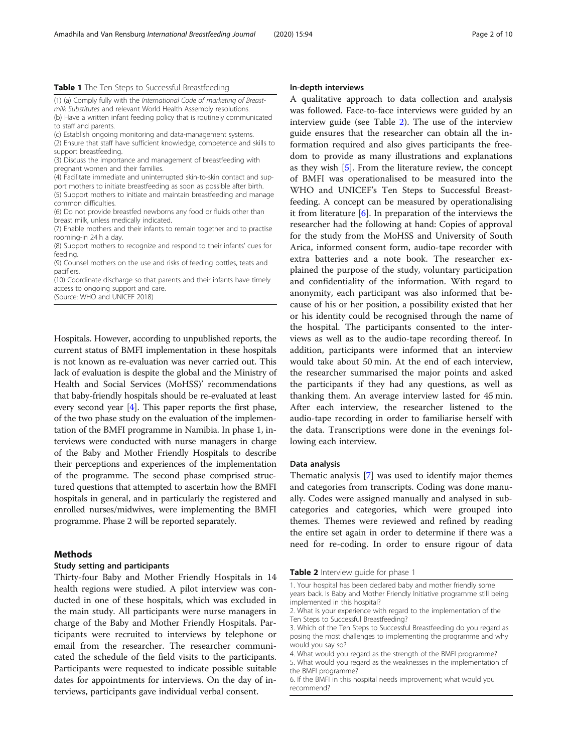#### <span id="page-1-0"></span>Table 1 The Ten Steps to Successful Breastfeeding

(1) (a) Comply fully with the International Code of marketing of Breastmilk Substitutes and relevant World Health Assembly resolutions. (b) Have a written infant feeding policy that is routinely communicated to staff and parents.

(c) Establish ongoing monitoring and data-management systems.

(2) Ensure that staff have sufficient knowledge, competence and skills to support breastfeeding.

(3) Discuss the importance and management of breastfeeding with pregnant women and their families.

(4) Facilitate immediate and uninterrupted skin-to-skin contact and support mothers to initiate breastfeeding as soon as possible after birth.

(5) Support mothers to initiate and maintain breastfeeding and manage common difficulties. (6) Do not provide breastfed newborns any food or fluids other than

breast milk, unless medically indicated.

(7) Enable mothers and their infants to remain together and to practise rooming-in 24 h a day.

(8) Support mothers to recognize and respond to their infants' cues for feeding.

(9) Counsel mothers on the use and risks of feeding bottles, teats and pacifiers.

(10) Coordinate discharge so that parents and their infants have timely access to ongoing support and care.

(Source: WHO and UNICEF 2018)

Hospitals. However, according to unpublished reports, the current status of BMFI implementation in these hospitals is not known as re-evaluation was never carried out. This lack of evaluation is despite the global and the Ministry of Health and Social Services (MoHSS)' recommendations that baby-friendly hospitals should be re-evaluated at least every second year [\[4](#page-8-0)]. This paper reports the first phase, of the two phase study on the evaluation of the implementation of the BMFI programme in Namibia. In phase 1, interviews were conducted with nurse managers in charge of the Baby and Mother Friendly Hospitals to describe their perceptions and experiences of the implementation of the programme. The second phase comprised structured questions that attempted to ascertain how the BMFI hospitals in general, and in particularly the registered and enrolled nurses/midwives, were implementing the BMFI programme. Phase 2 will be reported separately.

## Methods

#### Study setting and participants

Thirty-four Baby and Mother Friendly Hospitals in 14 health regions were studied. A pilot interview was conducted in one of these hospitals, which was excluded in the main study. All participants were nurse managers in charge of the Baby and Mother Friendly Hospitals. Participants were recruited to interviews by telephone or email from the researcher. The researcher communicated the schedule of the field visits to the participants. Participants were requested to indicate possible suitable dates for appointments for interviews. On the day of interviews, participants gave individual verbal consent.

### In-depth interviews

A qualitative approach to data collection and analysis was followed. Face-to-face interviews were guided by an interview guide (see Table 2). The use of the interview guide ensures that the researcher can obtain all the information required and also gives participants the freedom to provide as many illustrations and explanations as they wish [\[5\]](#page-8-0). From the literature review, the concept of BMFI was operationalised to be measured into the WHO and UNICEF's Ten Steps to Successful Breastfeeding. A concept can be measured by operationalising it from literature  $[6]$  $[6]$ . In preparation of the interviews the researcher had the following at hand: Copies of approval for the study from the MoHSS and University of South Arica, informed consent form, audio-tape recorder with extra batteries and a note book. The researcher explained the purpose of the study, voluntary participation and confidentiality of the information. With regard to anonymity, each participant was also informed that because of his or her position, a possibility existed that her or his identity could be recognised through the name of the hospital. The participants consented to the interviews as well as to the audio-tape recording thereof. In addition, participants were informed that an interview would take about 50 min. At the end of each interview, the researcher summarised the major points and asked the participants if they had any questions, as well as thanking them. An average interview lasted for 45 min. After each interview, the researcher listened to the audio-tape recording in order to familiarise herself with the data. Transcriptions were done in the evenings following each interview.

#### Data analysis

Thematic analysis [[7\]](#page-8-0) was used to identify major themes and categories from transcripts. Coding was done manually. Codes were assigned manually and analysed in subcategories and categories, which were grouped into themes. Themes were reviewed and refined by reading the entire set again in order to determine if there was a need for re-coding. In order to ensure rigour of data

**Table 2** Interview guide for phase 1

1. Your hospital has been declared baby and mother friendly some years back. Is Baby and Mother Friendly Initiative programme still being implemented in this hospital?

5. What would you regard as the weaknesses in the implementation of the BMFI programme?

6. If the BMFI in this hospital needs improvement; what would you recommend?

<sup>2.</sup> What is your experience with regard to the implementation of the Ten Steps to Successful Breastfeeding?

<sup>3.</sup> Which of the Ten Steps to Successful Breastfeeding do you regard as posing the most challenges to implementing the programme and why would you say so?

<sup>4.</sup> What would you regard as the strength of the BMFI programme?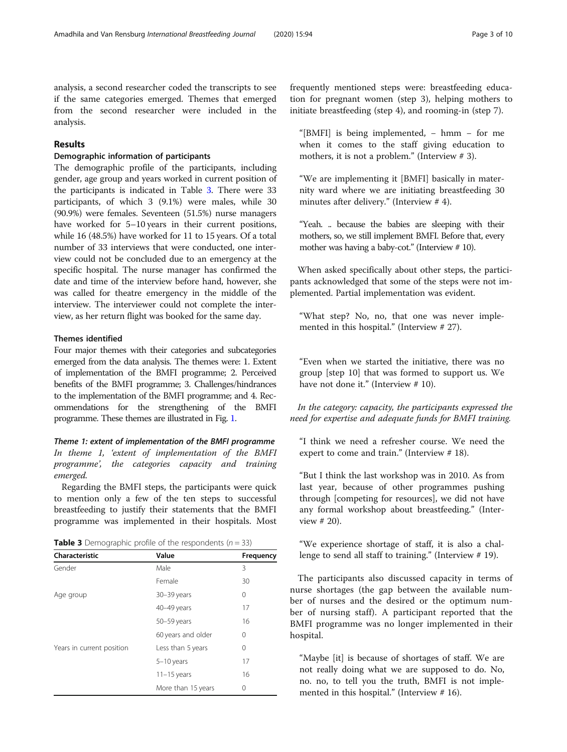analysis, a second researcher coded the transcripts to see if the same categories emerged. Themes that emerged from the second researcher were included in the analysis.

## Results

## Demographic information of participants

The demographic profile of the participants, including gender, age group and years worked in current position of the participants is indicated in Table 3. There were 33 participants, of which 3 (9.1%) were males, while 30 (90.9%) were females. Seventeen (51.5%) nurse managers have worked for 5–10 years in their current positions, while 16 (48.5%) have worked for 11 to 15 years. Of a total number of 33 interviews that were conducted, one interview could not be concluded due to an emergency at the specific hospital. The nurse manager has confirmed the date and time of the interview before hand, however, she was called for theatre emergency in the middle of the interview. The interviewer could not complete the interview, as her return flight was booked for the same day.

## Themes identified

Four major themes with their categories and subcategories emerged from the data analysis. The themes were: 1. Extent of implementation of the BMFI programme; 2. Perceived benefits of the BMFI programme; 3. Challenges/hindrances to the implementation of the BMFI programme; and 4. Recommendations for the strengthening of the BMFI programme. These themes are illustrated in Fig. [1.](#page-3-0)

## Theme 1: extent of implementation of the BMFI programme In theme 1, 'extent of implementation of the BMFI programme', the categories capacity and training emerged.

Regarding the BMFI steps, the participants were quick to mention only a few of the ten steps to successful breastfeeding to justify their statements that the BMFI programme was implemented in their hospitals. Most

| <b>Table 3</b> Demographic profile of the respondents ( $n = 33$ ) |  |  |  |  |  |
|--------------------------------------------------------------------|--|--|--|--|--|
|--------------------------------------------------------------------|--|--|--|--|--|

| Characteristic            | Value              | Frequency |
|---------------------------|--------------------|-----------|
| Gender                    | Male               | 3         |
|                           | Female             | 30        |
| Age group                 | $30 - 39$ years    | 0         |
|                           | 40-49 years        | 17        |
|                           | $50 - 59$ years    | 16        |
|                           | 60 years and older | 0         |
| Years in current position | Less than 5 years  | 0         |
|                           | $5-10$ years       | 17        |
|                           | $11 - 15$ years    | 16        |
|                           | More than 15 years | 0         |

frequently mentioned steps were: breastfeeding education for pregnant women (step 3), helping mothers to initiate breastfeeding (step 4), and rooming-in (step 7).

"[BMFI] is being implemented, − hmm − for me when it comes to the staff giving education to mothers, it is not a problem." (Interview # 3).

"We are implementing it [BMFI] basically in maternity ward where we are initiating breastfeeding 30 minutes after delivery." (Interview # 4).

"Yeah. .. because the babies are sleeping with their mothers, so, we still implement BMFI. Before that, every mother was having a baby-cot." (Interview # 10).

When asked specifically about other steps, the participants acknowledged that some of the steps were not implemented. Partial implementation was evident.

"What step? No, no, that one was never implemented in this hospital." (Interview # 27).

"Even when we started the initiative, there was no group [step 10] that was formed to support us. We have not done it." (Interview # 10).

In the category: capacity, the participants expressed the need for expertise and adequate funds for BMFI training.

"I think we need a refresher course. We need the expert to come and train." (Interview # 18).

"But I think the last workshop was in 2010. As from last year, because of other programmes pushing through [competing for resources], we did not have any formal workshop about breastfeeding." (Interview # 20).

"We experience shortage of staff, it is also a challenge to send all staff to training." (Interview # 19).

The participants also discussed capacity in terms of nurse shortages (the gap between the available number of nurses and the desired or the optimum number of nursing staff). A participant reported that the BMFI programme was no longer implemented in their hospital.

"Maybe [it] is because of shortages of staff. We are not really doing what we are supposed to do. No, no. no, to tell you the truth, BMFI is not implemented in this hospital." (Interview # 16).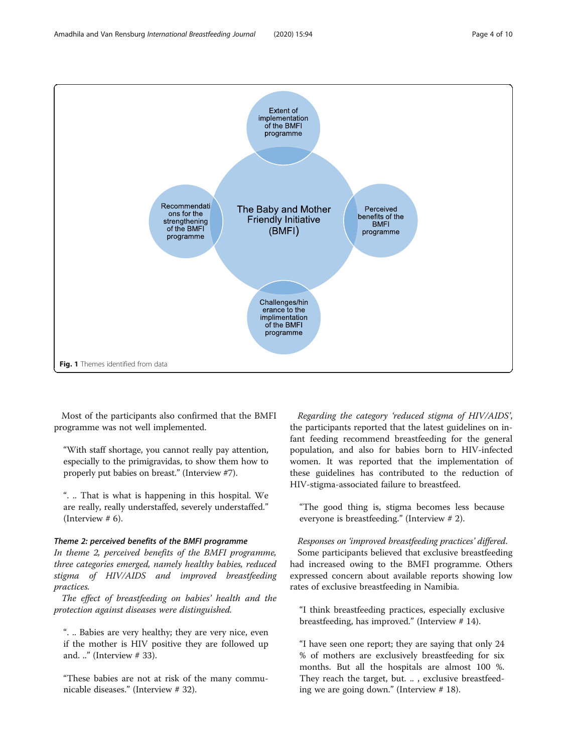<span id="page-3-0"></span>Amadhila and Van Rensburg International Breastfeeding Journal (2020) 15:94 Page 4 of 10



Most of the participants also confirmed that the BMFI programme was not well implemented.

"With staff shortage, you cannot really pay attention, especially to the primigravidas, to show them how to properly put babies on breast." (Interview #7).

". .. That is what is happening in this hospital. We are really, really understaffed, severely understaffed." (Interview # 6).

## Theme 2: perceived benefits of the BMFI programme

In theme 2, perceived benefits of the BMFI programme, three categories emerged, namely healthy babies, reduced stigma of HIV/AIDS and improved breastfeeding practices.

The effect of breastfeeding on babies' health and the protection against diseases were distinguished.

". .. Babies are very healthy; they are very nice, even if the mother is HIV positive they are followed up and. .." (Interview # 33).

"These babies are not at risk of the many communicable diseases." (Interview # 32).

Regarding the category 'reduced stigma of HIV/AIDS', the participants reported that the latest guidelines on infant feeding recommend breastfeeding for the general population, and also for babies born to HIV-infected women. It was reported that the implementation of these guidelines has contributed to the reduction of HIV-stigma-associated failure to breastfeed.

"The good thing is, stigma becomes less because everyone is breastfeeding." (Interview # 2).

## Responses on 'improved breastfeeding practices' differed.

Some participants believed that exclusive breastfeeding had increased owing to the BMFI programme. Others expressed concern about available reports showing low rates of exclusive breastfeeding in Namibia.

"I think breastfeeding practices, especially exclusive breastfeeding, has improved." (Interview # 14).

"I have seen one report; they are saying that only 24 % of mothers are exclusively breastfeeding for six months. But all the hospitals are almost 100 %. They reach the target, but. .. , exclusive breastfeeding we are going down." (Interview # 18).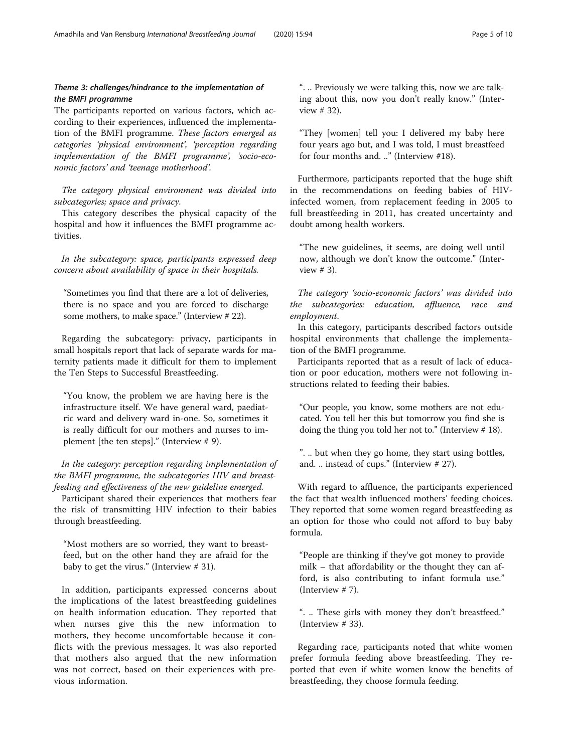## Theme 3: challenges/hindrance to the implementation of the BMFI programme

The participants reported on various factors, which according to their experiences, influenced the implementation of the BMFI programme. These factors emerged as categories 'physical environment', 'perception regarding implementation of the BMFI programme', 'socio-economic factors' and 'teenage motherhood'.

The category physical environment was divided into subcategories; space and privacy.

This category describes the physical capacity of the hospital and how it influences the BMFI programme activities.

In the subcategory: space, participants expressed deep concern about availability of space in their hospitals.

"Sometimes you find that there are a lot of deliveries, there is no space and you are forced to discharge some mothers, to make space." (Interview # 22).

Regarding the subcategory: privacy, participants in small hospitals report that lack of separate wards for maternity patients made it difficult for them to implement the Ten Steps to Successful Breastfeeding.

"You know, the problem we are having here is the infrastructure itself. We have general ward, paediatric ward and delivery ward in-one. So, sometimes it is really difficult for our mothers and nurses to implement [the ten steps]." (Interview # 9).

In the category: perception regarding implementation of the BMFI programme, the subcategories HIV and breastfeeding and effectiveness of the new guideline emerged.

Participant shared their experiences that mothers fear the risk of transmitting HIV infection to their babies through breastfeeding.

"Most mothers are so worried, they want to breastfeed, but on the other hand they are afraid for the baby to get the virus." (Interview # 31).

In addition, participants expressed concerns about the implications of the latest breastfeeding guidelines on health information education. They reported that when nurses give this the new information to mothers, they become uncomfortable because it conflicts with the previous messages. It was also reported that mothers also argued that the new information was not correct, based on their experiences with previous information.

". .. Previously we were talking this, now we are talking about this, now you don't really know." (Interview # 32).

"They [women] tell you: I delivered my baby here four years ago but, and I was told, I must breastfeed for four months and. .." (Interview #18).

Furthermore, participants reported that the huge shift in the recommendations on feeding babies of HIVinfected women, from replacement feeding in 2005 to full breastfeeding in 2011, has created uncertainty and doubt among health workers.

"The new guidelines, it seems, are doing well until now, although we don't know the outcome." (Interview # 3).

The category 'socio-economic factors' was divided into the subcategories: education, affluence, race and employment.

In this category, participants described factors outside hospital environments that challenge the implementation of the BMFI programme.

Participants reported that as a result of lack of education or poor education, mothers were not following instructions related to feeding their babies.

"Our people, you know, some mothers are not educated. You tell her this but tomorrow you find she is doing the thing you told her not to." (Interview # 18).

". .. but when they go home, they start using bottles, and. .. instead of cups." (Interview # 27).

With regard to affluence, the participants experienced the fact that wealth influenced mothers' feeding choices. They reported that some women regard breastfeeding as an option for those who could not afford to buy baby formula.

"People are thinking if they've got money to provide milk – that affordability or the thought they can afford, is also contributing to infant formula use." (Interview # 7).

". .. These girls with money they don't breastfeed." (Interview # 33).

Regarding race, participants noted that white women prefer formula feeding above breastfeeding. They reported that even if white women know the benefits of breastfeeding, they choose formula feeding.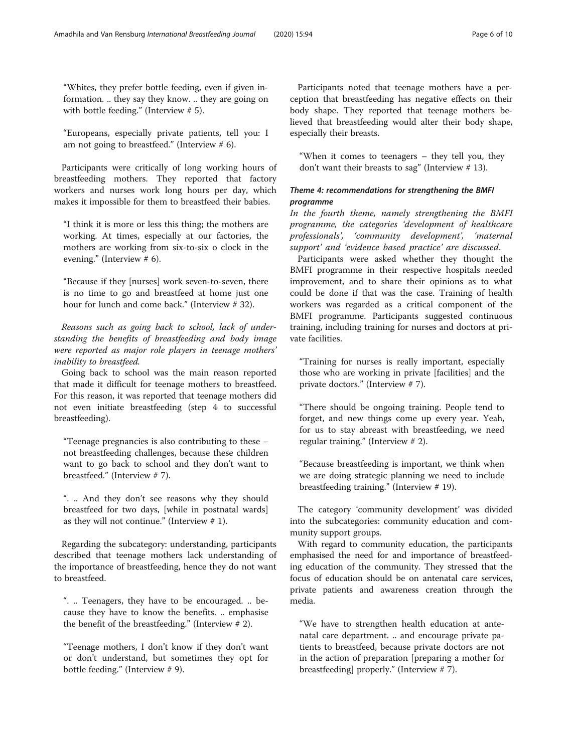"Whites, they prefer bottle feeding, even if given information. .. they say they know. .. they are going on with bottle feeding." (Interview # 5).

"Europeans, especially private patients, tell you: I am not going to breastfeed." (Interview # 6).

Participants were critically of long working hours of breastfeeding mothers. They reported that factory workers and nurses work long hours per day, which makes it impossible for them to breastfeed their babies.

"I think it is more or less this thing; the mothers are working. At times, especially at our factories, the mothers are working from six-to-six o clock in the evening." (Interview # 6).

"Because if they [nurses] work seven-to-seven, there is no time to go and breastfeed at home just one hour for lunch and come back." (Interview # 32).

Reasons such as going back to school, lack of understanding the benefits of breastfeeding and body image were reported as major role players in teenage mothers' inability to breastfeed.

Going back to school was the main reason reported that made it difficult for teenage mothers to breastfeed. For this reason, it was reported that teenage mothers did not even initiate breastfeeding (step 4 to successful breastfeeding).

"Teenage pregnancies is also contributing to these − not breastfeeding challenges, because these children want to go back to school and they don't want to breastfeed." (Interview # 7).

". .. And they don't see reasons why they should breastfeed for two days, [while in postnatal wards] as they will not continue." (Interview # 1).

Regarding the subcategory: understanding, participants described that teenage mothers lack understanding of the importance of breastfeeding, hence they do not want to breastfeed.

". .. Teenagers, they have to be encouraged. .. because they have to know the benefits. .. emphasise the benefit of the breastfeeding." (Interview # 2).

"Teenage mothers, I don't know if they don't want or don't understand, but sometimes they opt for bottle feeding." (Interview # 9).

Participants noted that teenage mothers have a perception that breastfeeding has negative effects on their body shape. They reported that teenage mothers believed that breastfeeding would alter their body shape, especially their breasts.

"When it comes to teenagers – they tell you, they don't want their breasts to sag" (Interview # 13).

## Theme 4: recommendations for strengthening the BMFI programme

In the fourth theme, namely strengthening the BMFI programme, the categories 'development of healthcare professionals', 'community development', 'maternal support' and 'evidence based practice' are discussed.

Participants were asked whether they thought the BMFI programme in their respective hospitals needed improvement, and to share their opinions as to what could be done if that was the case. Training of health workers was regarded as a critical component of the BMFI programme. Participants suggested continuous training, including training for nurses and doctors at private facilities.

"Training for nurses is really important, especially those who are working in private [facilities] and the private doctors." (Interview # 7).

"There should be ongoing training. People tend to forget, and new things come up every year. Yeah, for us to stay abreast with breastfeeding, we need regular training." (Interview # 2).

"Because breastfeeding is important, we think when we are doing strategic planning we need to include breastfeeding training." (Interview # 19).

The category 'community development' was divided into the subcategories: community education and community support groups.

With regard to community education, the participants emphasised the need for and importance of breastfeeding education of the community. They stressed that the focus of education should be on antenatal care services, private patients and awareness creation through the media.

"We have to strengthen health education at antenatal care department. .. and encourage private patients to breastfeed, because private doctors are not in the action of preparation [preparing a mother for breastfeeding] properly." (Interview # 7).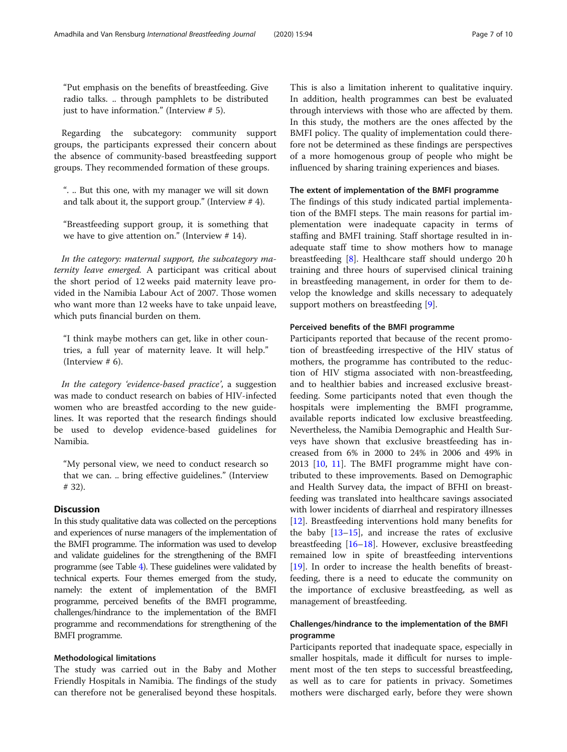"Put emphasis on the benefits of breastfeeding. Give radio talks. .. through pamphlets to be distributed just to have information." (Interview # 5).

Regarding the subcategory: community support groups, the participants expressed their concern about the absence of community-based breastfeeding support groups. They recommended formation of these groups.

". .. But this one, with my manager we will sit down and talk about it, the support group." (Interview # 4).

"Breastfeeding support group, it is something that we have to give attention on." (Interview # 14).

In the category: maternal support, the subcategory maternity leave emerged. A participant was critical about the short period of 12 weeks paid maternity leave provided in the Namibia Labour Act of 2007. Those women who want more than 12 weeks have to take unpaid leave, which puts financial burden on them.

"I think maybe mothers can get, like in other countries, a full year of maternity leave. It will help." (Interview # 6).

In the category 'evidence-based practice', a suggestion was made to conduct research on babies of HIV-infected women who are breastfed according to the new guidelines. It was reported that the research findings should be used to develop evidence-based guidelines for Namibia.

"My personal view, we need to conduct research so that we can. .. bring effective guidelines." (Interview # 32).

## **Discussion**

In this study qualitative data was collected on the perceptions and experiences of nurse managers of the implementation of the BMFI programme. The information was used to develop and validate guidelines for the strengthening of the BMFI programme (see Table [4](#page-7-0)). These guidelines were validated by technical experts. Four themes emerged from the study, namely: the extent of implementation of the BMFI programme, perceived benefits of the BMFI programme, challenges/hindrance to the implementation of the BMFI programme and recommendations for strengthening of the BMFI programme.

#### Methodological limitations

The study was carried out in the Baby and Mother Friendly Hospitals in Namibia. The findings of the study can therefore not be generalised beyond these hospitals. This is also a limitation inherent to qualitative inquiry. In addition, health programmes can best be evaluated through interviews with those who are affected by them. In this study, the mothers are the ones affected by the BMFI policy. The quality of implementation could therefore not be determined as these findings are perspectives of a more homogenous group of people who might be influenced by sharing training experiences and biases.

## The extent of implementation of the BMFI programme

The findings of this study indicated partial implementation of the BMFI steps. The main reasons for partial implementation were inadequate capacity in terms of staffing and BMFI training. Staff shortage resulted in inadequate staff time to show mothers how to manage breastfeeding [\[8](#page-8-0)]. Healthcare staff should undergo 20 h training and three hours of supervised clinical training in breastfeeding management, in order for them to develop the knowledge and skills necessary to adequately support mothers on breastfeeding [\[9](#page-8-0)].

#### Perceived benefits of the BMFI programme

Participants reported that because of the recent promotion of breastfeeding irrespective of the HIV status of mothers, the programme has contributed to the reduction of HIV stigma associated with non-breastfeeding, and to healthier babies and increased exclusive breastfeeding. Some participants noted that even though the hospitals were implementing the BMFI programme, available reports indicated low exclusive breastfeeding. Nevertheless, the Namibia Demographic and Health Surveys have shown that exclusive breastfeeding has increased from 6% in 2000 to 24% in 2006 and 49% in 2013 [[10,](#page-8-0) [11](#page-8-0)]. The BMFI programme might have contributed to these improvements. Based on Demographic and Health Survey data, the impact of BFHI on breastfeeding was translated into healthcare savings associated with lower incidents of diarrheal and respiratory illnesses [[12\]](#page-8-0). Breastfeeding interventions hold many benefits for the baby  $[13-15]$  $[13-15]$  $[13-15]$  $[13-15]$  $[13-15]$ , and increase the rates of exclusive breastfeeding [\[16](#page-8-0)–[18\]](#page-9-0). However, exclusive breastfeeding remained low in spite of breastfeeding interventions [[19\]](#page-9-0). In order to increase the health benefits of breastfeeding, there is a need to educate the community on the importance of exclusive breastfeeding, as well as management of breastfeeding.

## Challenges/hindrance to the implementation of the BMFI programme

Participants reported that inadequate space, especially in smaller hospitals, made it difficult for nurses to implement most of the ten steps to successful breastfeeding, as well as to care for patients in privacy. Sometimes mothers were discharged early, before they were shown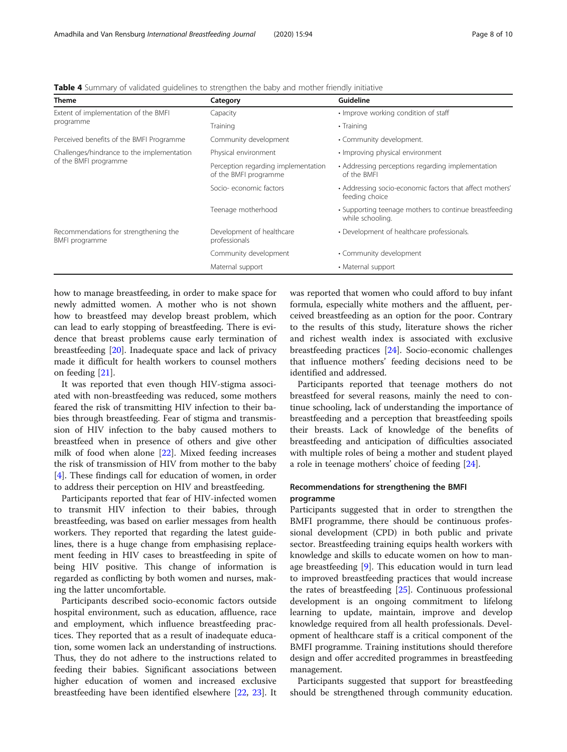| Theme                                                               | Category                                                     | Guideline                                                                  |  |
|---------------------------------------------------------------------|--------------------------------------------------------------|----------------------------------------------------------------------------|--|
| Extent of implementation of the BMFI<br>programme                   | Capacity                                                     | • Improve working condition of staff                                       |  |
|                                                                     | Training                                                     | • Training                                                                 |  |
| Perceived benefits of the BMFI Programme                            | Community development                                        | • Community development.                                                   |  |
| Challenges/hindrance to the implementation<br>of the BMFI programme | Physical environment                                         | • Improving physical environment                                           |  |
|                                                                     | Perception regarding implementation<br>of the BMFI programme | • Addressing perceptions regarding implementation<br>of the BMFI           |  |
|                                                                     | Socio-economic factors                                       | • Addressing socio-economic factors that affect mothers'<br>feeding choice |  |
|                                                                     | Teenage motherhood                                           | • Supporting teenage mothers to continue breastfeeding<br>while schooling. |  |
| Recommendations for strengthening the<br>BMFI programme             | Development of healthcare<br>professionals                   | • Development of healthcare professionals.                                 |  |
|                                                                     | Community development                                        | • Community development                                                    |  |
|                                                                     | Maternal support                                             | • Maternal support                                                         |  |

<span id="page-7-0"></span>Table 4 Summary of validated quidelines to strengthen the baby and mother friendly initiative

how to manage breastfeeding, in order to make space for newly admitted women. A mother who is not shown how to breastfeed may develop breast problem, which can lead to early stopping of breastfeeding. There is evidence that breast problems cause early termination of breastfeeding [[20](#page-9-0)]. Inadequate space and lack of privacy made it difficult for health workers to counsel mothers on feeding [[21\]](#page-9-0).

It was reported that even though HIV-stigma associated with non-breastfeeding was reduced, some mothers feared the risk of transmitting HIV infection to their babies through breastfeeding. Fear of stigma and transmission of HIV infection to the baby caused mothers to breastfeed when in presence of others and give other milk of food when alone [[22\]](#page-9-0). Mixed feeding increases the risk of transmission of HIV from mother to the baby [[4\]](#page-8-0). These findings call for education of women, in order to address their perception on HIV and breastfeeding.

Participants reported that fear of HIV-infected women to transmit HIV infection to their babies, through breastfeeding, was based on earlier messages from health workers. They reported that regarding the latest guidelines, there is a huge change from emphasising replacement feeding in HIV cases to breastfeeding in spite of being HIV positive. This change of information is regarded as conflicting by both women and nurses, making the latter uncomfortable.

Participants described socio-economic factors outside hospital environment, such as education, affluence, race and employment, which influence breastfeeding practices. They reported that as a result of inadequate education, some women lack an understanding of instructions. Thus, they do not adhere to the instructions related to feeding their babies. Significant associations between higher education of women and increased exclusive breastfeeding have been identified elsewhere [\[22](#page-9-0), [23\]](#page-9-0). It was reported that women who could afford to buy infant formula, especially white mothers and the affluent, perceived breastfeeding as an option for the poor. Contrary to the results of this study, literature shows the richer and richest wealth index is associated with exclusive breastfeeding practices [\[24\]](#page-9-0). Socio-economic challenges that influence mothers' feeding decisions need to be identified and addressed.

Participants reported that teenage mothers do not breastfeed for several reasons, mainly the need to continue schooling, lack of understanding the importance of breastfeeding and a perception that breastfeeding spoils their breasts. Lack of knowledge of the benefits of breastfeeding and anticipation of difficulties associated with multiple roles of being a mother and student played a role in teenage mothers' choice of feeding [[24\]](#page-9-0).

## Recommendations for strengthening the BMFI programme

Participants suggested that in order to strengthen the BMFI programme, there should be continuous professional development (CPD) in both public and private sector. Breastfeeding training equips health workers with knowledge and skills to educate women on how to manage breastfeeding [\[9](#page-8-0)]. This education would in turn lead to improved breastfeeding practices that would increase the rates of breastfeeding [[25](#page-9-0)]. Continuous professional development is an ongoing commitment to lifelong learning to update, maintain, improve and develop knowledge required from all health professionals. Development of healthcare staff is a critical component of the BMFI programme. Training institutions should therefore design and offer accredited programmes in breastfeeding management.

Participants suggested that support for breastfeeding should be strengthened through community education.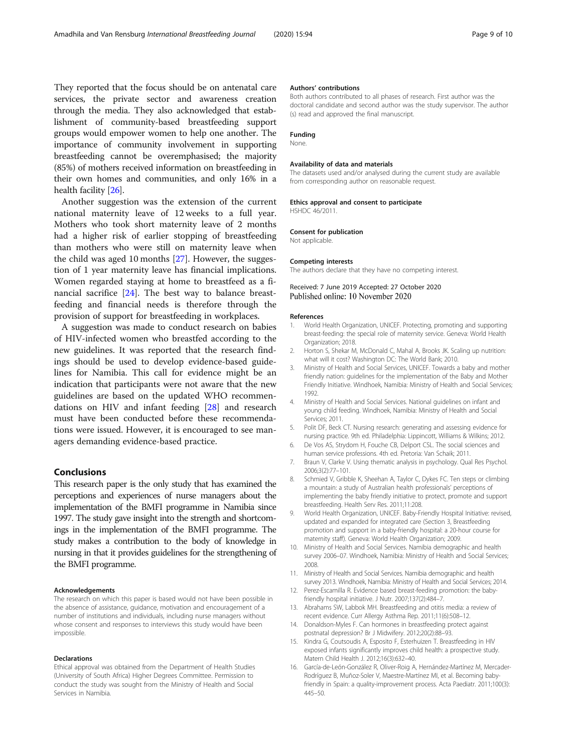<span id="page-8-0"></span>They reported that the focus should be on antenatal care services, the private sector and awareness creation through the media. They also acknowledged that establishment of community-based breastfeeding support groups would empower women to help one another. The importance of community involvement in supporting breastfeeding cannot be overemphasised; the majority (85%) of mothers received information on breastfeeding in their own homes and communities, and only 16% in a health facility [[26](#page-9-0)].

Another suggestion was the extension of the current national maternity leave of 12 weeks to a full year. Mothers who took short maternity leave of 2 months had a higher risk of earlier stopping of breastfeeding than mothers who were still on maternity leave when the child was aged 10 months [\[27](#page-9-0)]. However, the suggestion of 1 year maternity leave has financial implications. Women regarded staying at home to breastfeed as a financial sacrifice [[24](#page-9-0)]. The best way to balance breastfeeding and financial needs is therefore through the provision of support for breastfeeding in workplaces.

A suggestion was made to conduct research on babies of HIV-infected women who breastfed according to the new guidelines. It was reported that the research findings should be used to develop evidence-based guidelines for Namibia. This call for evidence might be an indication that participants were not aware that the new guidelines are based on the updated WHO recommendations on HIV and infant feeding [[28\]](#page-9-0) and research must have been conducted before these recommendations were issued. However, it is encouraged to see managers demanding evidence-based practice.

## Conclusions

This research paper is the only study that has examined the perceptions and experiences of nurse managers about the implementation of the BMFI programme in Namibia since 1997. The study gave insight into the strength and shortcomings in the implementation of the BMFI programme. The study makes a contribution to the body of knowledge in nursing in that it provides guidelines for the strengthening of the BMFI programme.

#### Acknowledgements

The research on which this paper is based would not have been possible in the absence of assistance, guidance, motivation and encouragement of a number of institutions and individuals, including nurse managers without whose consent and responses to interviews this study would have been impossible.

#### Declarations

Ethical approval was obtained from the Department of Health Studies (University of South Africa) Higher Degrees Committee. Permission to conduct the study was sought from the Ministry of Health and Social Services in Namibia.

#### Authors' contributions

Both authors contributed to all phases of research. First author was the doctoral candidate and second author was the study supervisor. The author (s) read and approved the final manuscript.

#### Funding

None.

#### Availability of data and materials

The datasets used and/or analysed during the current study are available from corresponding author on reasonable request.

#### Ethics approval and consent to participate

HSHDC 46/2011.

#### Consent for publication

Not applicable.

#### Competing interests

The authors declare that they have no competing interest.

Received: 7 June 2019 Accepted: 27 October 2020 Published online: 10 November 2020

#### References

- 1. World Health Organization, UNICEF. Protecting, promoting and supporting breast-feeding: the special role of maternity service. Geneva: World Health Organization; 2018.
- 2. Horton S, Shekar M, McDonald C, Mahal A, Brooks JK. Scaling up nutrition: what will it cost? Washington DC: The World Bank; 2010.
- 3. Ministry of Health and Social Services, UNICEF. Towards a baby and mother friendly nation: guidelines for the implementation of the Baby and Mother Friendly Initiative. Windhoek, Namibia: Ministry of Health and Social Services; 1992.
- 4. Ministry of Health and Social Services. National guidelines on infant and young child feeding. Windhoek, Namibia: Ministry of Health and Social Services; 2011.
- 5. Polit DF, Beck CT. Nursing research: generating and assessing evidence for nursing practice. 9th ed. Philadelphia: Lippincott, Williams & Wilkins; 2012.
- 6. De Vos AS, Strydom H, Fouche CB, Delport CSL. The social sciences and human service professions. 4th ed. Pretoria: Van Schaik; 2011.
- 7. Braun V, Clarke V. Using thematic analysis in psychology. Qual Res Psychol. 2006;3(2):77–101.
- 8. Schmied V, Gribble K, Sheehan A, Taylor C, Dykes FC. Ten steps or climbing a mountain: a study of Australian health professionals' perceptions of implementing the baby friendly initiative to protect, promote and support breastfeeding. Health Serv Res. 2011;11:208.
- 9. World Health Organization, UNICEF. Baby-Friendly Hospital Initiative: revised, updated and expanded for integrated care (Section 3, Breastfeeding promotion and support in a baby-friendly hospital: a 20-hour course for maternity staff). Geneva: World Health Organization; 2009.
- 10. Ministry of Health and Social Services. Namibia demographic and health survey 2006–07. Windhoek, Namibia: Ministry of Health and Social Services; 2008.
- 11. Ministry of Health and Social Services. Namibia demographic and health survey 2013. Windhoek, Namibia: Ministry of Health and Social Services; 2014.
- 12. Perez-Escamilla R. Evidence based breast-feeding promotion: the babyfriendly hospital initiative. J Nutr. 2007;137(2):484–7.
- 13. Abrahams SW, Labbok MH. Breastfeeding and otitis media: a review of recent evidence. Curr Allergy Asthma Rep. 2011;11(6):508–12.
- 14. Donaldson-Myles F. Can hormones in breastfeeding protect against postnatal depression? Br J Midwifery. 2012;20(2):88–93.
- 15. Kindra G, Coutsoudis A, Esposito F, Esterhuizen T. Breastfeeding in HIV exposed infants significantly improves child health: a prospective study. Matern Child Health J. 2012;16(3):632–40.
- 16. García-de-León-González R, Oliver-Roig A, Hernández-Martínez M, Mercader-Rodríguez B, Muñoz-Soler V, Maestre-Martínez MI, et al. Becoming babyfriendly in Spain: a quality-improvement process. Acta Paediatr. 2011;100(3): 445–50.